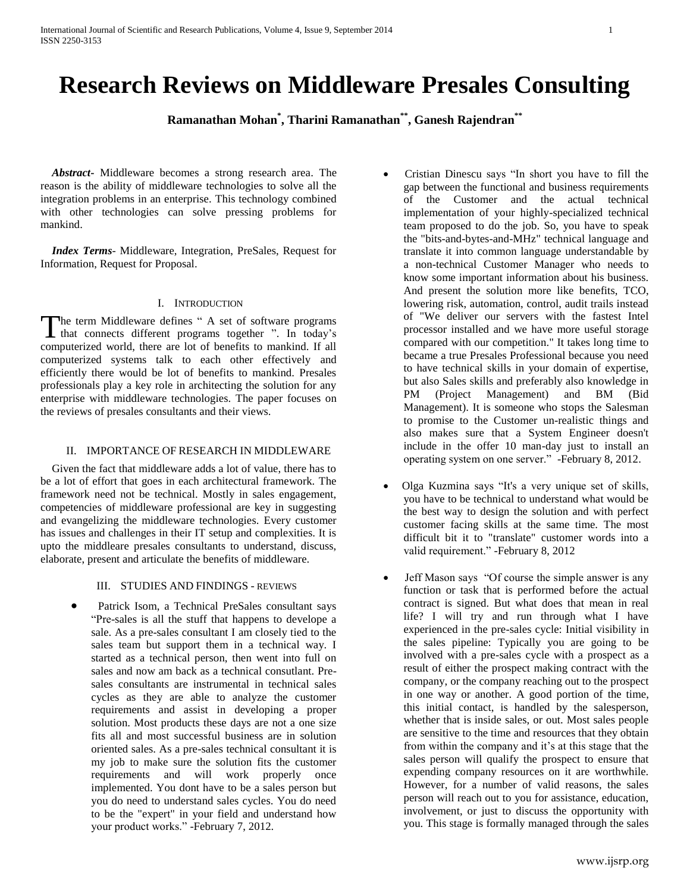# **Research Reviews on Middleware Presales Consulting**

**Ramanathan Mohan\* , Tharini Ramanathan\*\* , Ganesh Rajendran\*\***

 *Abstract***-** Middleware becomes a strong research area. The reason is the ability of middleware technologies to solve all the integration problems in an enterprise. This technology combined with other technologies can solve pressing problems for mankind.

 *Index Terms*- Middleware, Integration, PreSales, Request for Information, Request for Proposal.

## I. INTRODUCTION

The term Middleware defines " A set of software programs The term Middleware defines " A set of software programs<br>that connects different programs together ". In today's computerized world, there are lot of benefits to mankind. If all computerized systems talk to each other effectively and efficiently there would be lot of benefits to mankind. Presales professionals play a key role in architecting the solution for any enterprise with middleware technologies. The paper focuses on the reviews of presales consultants and their views.

# II. IMPORTANCE OF RESEARCH IN MIDDLEWARE

 Given the fact that middleware adds a lot of value, there has to be a lot of effort that goes in each architectural framework. The framework need not be technical. Mostly in sales engagement, competencies of middleware professional are key in suggesting and evangelizing the middleware technologies. Every customer has issues and challenges in their IT setup and complexities. It is upto the middleare presales consultants to understand, discuss, elaborate, present and articulate the benefits of middleware.

## III. STUDIES AND FINDINGS - REVIEWS

 Patrick Isom, a Technical PreSales consultant says "Pre-sales is all the stuff that happens to develope a sale. As a pre-sales consultant I am closely tied to the sales team but support them in a technical way. I started as a technical person, then went into full on sales and now am back as a technical consutlant. Presales consultants are instrumental in technical sales cycles as they are able to analyze the customer requirements and assist in developing a proper solution. Most products these days are not a one size fits all and most successful business are in solution oriented sales. As a pre-sales technical consultant it is my job to make sure the solution fits the customer requirements and will work properly once implemented. You dont have to be a sales person but you do need to understand sales cycles. You do need to be the "expert" in your field and understand how your product works." -February 7, 2012.

- [Cristian Dinescu](http://www.linkedin.com/groups?viewMemberFeed=&gid=64542&memberID=58765021&goback=.gmp_64542) says "In short you have to fill the gap between the functional and business requirements of the Customer and the actual technical implementation of your highly-specialized technical team proposed to do the job. So, you have to speak the "bits-and-bytes-and-MHz" technical language and translate it into common language understandable by a non-technical Customer Manager who needs to know some important information about his business. And present the solution more like benefits, TCO, lowering risk, automation, control, audit trails instead of "We deliver our servers with the fastest Intel processor installed and we have more useful storage compared with our competition." It takes long time to became a true Presales Professional because you need to have technical skills in your domain of expertise, but also Sales skills and preferably also knowledge in PM (Project Management) and BM (Bid Management). It is someone who stops the Salesman to promise to the Customer un-realistic things and also makes sure that a System Engineer doesn't include in the offer 10 man-day just to install an operating system on one server." -February 8, 2012.
- [Olga Kuzmina](http://www.linkedin.com/groups?viewMemberFeed=&gid=64542&memberID=99106273&goback=.gmp_64542) says "It's a very unique set of skills, you have to be technical to understand what would be the best way to design the solution and with perfect customer facing skills at the same time. The most difficult bit it to "translate" customer words into a valid requirement." -February 8, 2012
- Jeff Mason says "Of course the simple answer is any function or task that is performed before the actual contract is signed. But what does that mean in real life? I will try and run through what I have experienced in the pre-sales cycle: Initial visibility in the sales pipeline: Typically you are going to be involved with a pre-sales cycle with a prospect as a result of either the prospect making contract with the company, or the company reaching out to the prospect in one way or another. A good portion of the time, this initial contact, is handled by the salesperson, whether that is inside sales, or out. Most sales people are sensitive to the time and resources that they obtain from within the company and it's at this stage that the sales person will qualify the prospect to ensure that expending company resources on it are worthwhile. However, for a number of valid reasons, the sales person will reach out to you for assistance, education, involvement, or just to discuss the opportunity with you. This stage is formally managed through the sales